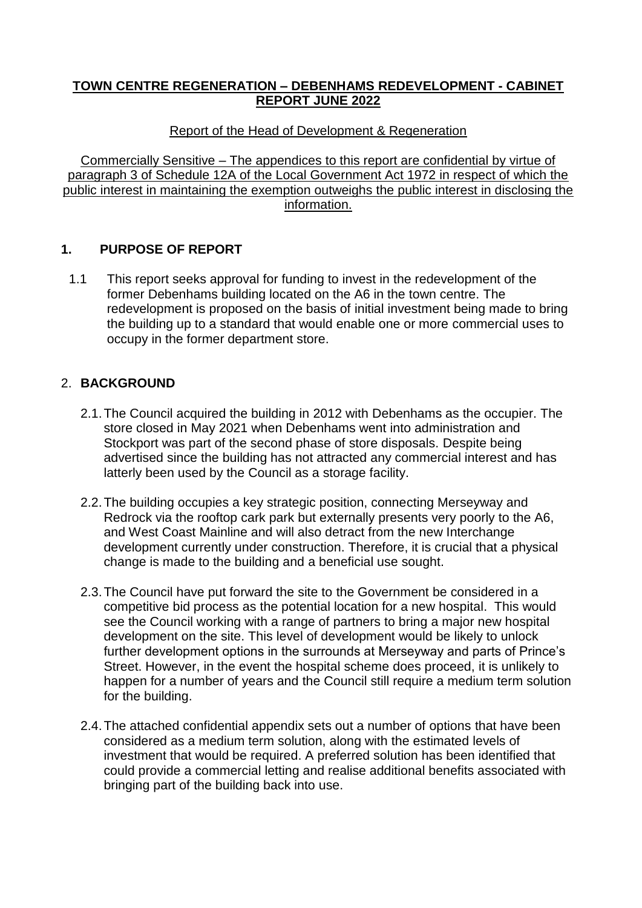### **TOWN CENTRE REGENERATION – DEBENHAMS REDEVELOPMENT - CABINET REPORT JUNE 2022**

Report of the Head of Development & Regeneration

Commercially Sensitive – The appendices to this report are confidential by virtue of paragraph 3 of Schedule 12A of the Local Government Act 1972 in respect of which the public interest in maintaining the exemption outweighs the public interest in disclosing the information.

## **1. PURPOSE OF REPORT**

1.1 This report seeks approval for funding to invest in the redevelopment of the former Debenhams building located on the A6 in the town centre. The redevelopment is proposed on the basis of initial investment being made to bring the building up to a standard that would enable one or more commercial uses to occupy in the former department store.

## 2. **BACKGROUND**

- 2.1.The Council acquired the building in 2012 with Debenhams as the occupier. The store closed in May 2021 when Debenhams went into administration and Stockport was part of the second phase of store disposals. Despite being advertised since the building has not attracted any commercial interest and has latterly been used by the Council as a storage facility.
- 2.2.The building occupies a key strategic position, connecting Merseyway and Redrock via the rooftop cark park but externally presents very poorly to the A6, and West Coast Mainline and will also detract from the new Interchange development currently under construction. Therefore, it is crucial that a physical change is made to the building and a beneficial use sought.
- 2.3.The Council have put forward the site to the Government be considered in a competitive bid process as the potential location for a new hospital. This would see the Council working with a range of partners to bring a major new hospital development on the site. This level of development would be likely to unlock further development options in the surrounds at Merseyway and parts of Prince's Street. However, in the event the hospital scheme does proceed, it is unlikely to happen for a number of years and the Council still require a medium term solution for the building.
- 2.4.The attached confidential appendix sets out a number of options that have been considered as a medium term solution, along with the estimated levels of investment that would be required. A preferred solution has been identified that could provide a commercial letting and realise additional benefits associated with bringing part of the building back into use.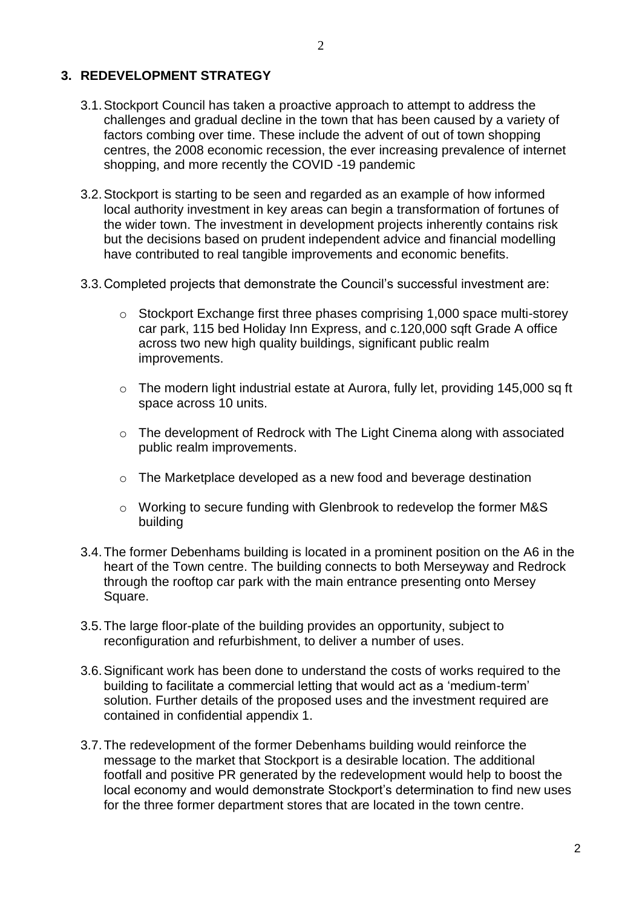- 3.1.Stockport Council has taken a proactive approach to attempt to address the challenges and gradual decline in the town that has been caused by a variety of factors combing over time. These include the advent of out of town shopping centres, the 2008 economic recession, the ever increasing prevalence of internet shopping, and more recently the COVID -19 pandemic
- 3.2.Stockport is starting to be seen and regarded as an example of how informed local authority investment in key areas can begin a transformation of fortunes of the wider town. The investment in development projects inherently contains risk but the decisions based on prudent independent advice and financial modelling have contributed to real tangible improvements and economic benefits.
- 3.3.Completed projects that demonstrate the Council's successful investment are:
	- o Stockport Exchange first three phases comprising 1,000 space multi-storey car park, 115 bed Holiday Inn Express, and c.120,000 sqft Grade A office across two new high quality buildings, significant public realm improvements.
	- o The modern light industrial estate at Aurora, fully let, providing 145,000 sq ft space across 10 units.
	- o The development of Redrock with The Light Cinema along with associated public realm improvements.
	- o The Marketplace developed as a new food and beverage destination
	- o Working to secure funding with Glenbrook to redevelop the former M&S building
- 3.4.The former Debenhams building is located in a prominent position on the A6 in the heart of the Town centre. The building connects to both Merseyway and Redrock through the rooftop car park with the main entrance presenting onto Mersey Square.
- 3.5.The large floor-plate of the building provides an opportunity, subject to reconfiguration and refurbishment, to deliver a number of uses.
- 3.6.Significant work has been done to understand the costs of works required to the building to facilitate a commercial letting that would act as a 'medium-term' solution. Further details of the proposed uses and the investment required are contained in confidential appendix 1.
- 3.7.The redevelopment of the former Debenhams building would reinforce the message to the market that Stockport is a desirable location. The additional footfall and positive PR generated by the redevelopment would help to boost the local economy and would demonstrate Stockport's determination to find new uses for the three former department stores that are located in the town centre.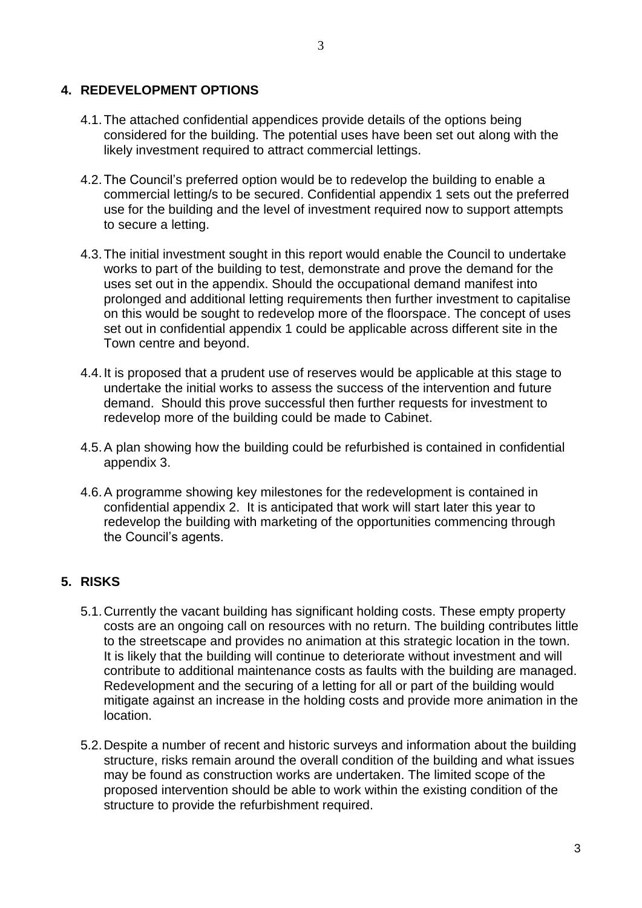#### **4. REDEVELOPMENT OPTIONS**

4.1.The attached confidential appendices provide details of the options being considered for the building. The potential uses have been set out along with the likely investment required to attract commercial lettings.

3

- 4.2.The Council's preferred option would be to redevelop the building to enable a commercial letting/s to be secured. Confidential appendix 1 sets out the preferred use for the building and the level of investment required now to support attempts to secure a letting.
- 4.3.The initial investment sought in this report would enable the Council to undertake works to part of the building to test, demonstrate and prove the demand for the uses set out in the appendix. Should the occupational demand manifest into prolonged and additional letting requirements then further investment to capitalise on this would be sought to redevelop more of the floorspace. The concept of uses set out in confidential appendix 1 could be applicable across different site in the Town centre and beyond.
- 4.4.It is proposed that a prudent use of reserves would be applicable at this stage to undertake the initial works to assess the success of the intervention and future demand. Should this prove successful then further requests for investment to redevelop more of the building could be made to Cabinet.
- 4.5.A plan showing how the building could be refurbished is contained in confidential appendix 3.
- 4.6.A programme showing key milestones for the redevelopment is contained in confidential appendix 2. It is anticipated that work will start later this year to redevelop the building with marketing of the opportunities commencing through the Council's agents.

#### **5. RISKS**

- 5.1.Currently the vacant building has significant holding costs. These empty property costs are an ongoing call on resources with no return. The building contributes little to the streetscape and provides no animation at this strategic location in the town. It is likely that the building will continue to deteriorate without investment and will contribute to additional maintenance costs as faults with the building are managed. Redevelopment and the securing of a letting for all or part of the building would mitigate against an increase in the holding costs and provide more animation in the location.
- 5.2.Despite a number of recent and historic surveys and information about the building structure, risks remain around the overall condition of the building and what issues may be found as construction works are undertaken. The limited scope of the proposed intervention should be able to work within the existing condition of the structure to provide the refurbishment required.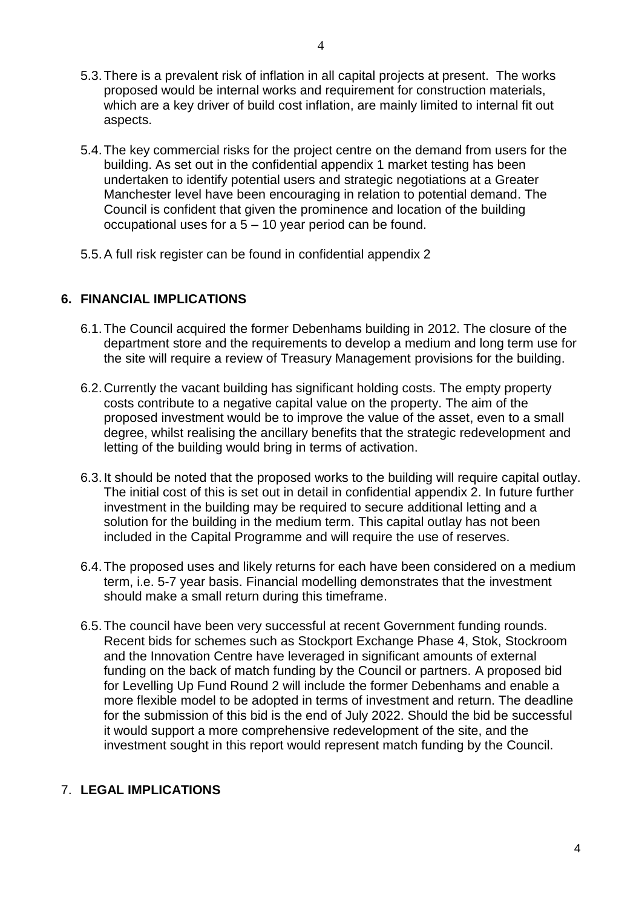- 5.3.There is a prevalent risk of inflation in all capital projects at present. The works proposed would be internal works and requirement for construction materials, which are a key driver of build cost inflation, are mainly limited to internal fit out aspects.
- 5.4.The key commercial risks for the project centre on the demand from users for the building. As set out in the confidential appendix 1 market testing has been undertaken to identify potential users and strategic negotiations at a Greater Manchester level have been encouraging in relation to potential demand. The Council is confident that given the prominence and location of the building occupational uses for a 5 – 10 year period can be found.
- 5.5.A full risk register can be found in confidential appendix 2

### **6. FINANCIAL IMPLICATIONS**

- 6.1.The Council acquired the former Debenhams building in 2012. The closure of the department store and the requirements to develop a medium and long term use for the site will require a review of Treasury Management provisions for the building.
- 6.2.Currently the vacant building has significant holding costs. The empty property costs contribute to a negative capital value on the property. The aim of the proposed investment would be to improve the value of the asset, even to a small degree, whilst realising the ancillary benefits that the strategic redevelopment and letting of the building would bring in terms of activation.
- 6.3.It should be noted that the proposed works to the building will require capital outlay. The initial cost of this is set out in detail in confidential appendix 2. In future further investment in the building may be required to secure additional letting and a solution for the building in the medium term. This capital outlay has not been included in the Capital Programme and will require the use of reserves.
- 6.4.The proposed uses and likely returns for each have been considered on a medium term, i.e. 5-7 year basis. Financial modelling demonstrates that the investment should make a small return during this timeframe.
- 6.5.The council have been very successful at recent Government funding rounds. Recent bids for schemes such as Stockport Exchange Phase 4, Stok, Stockroom and the Innovation Centre have leveraged in significant amounts of external funding on the back of match funding by the Council or partners. A proposed bid for Levelling Up Fund Round 2 will include the former Debenhams and enable a more flexible model to be adopted in terms of investment and return. The deadline for the submission of this bid is the end of July 2022. Should the bid be successful it would support a more comprehensive redevelopment of the site, and the investment sought in this report would represent match funding by the Council.

### 7. **LEGAL IMPLICATIONS**